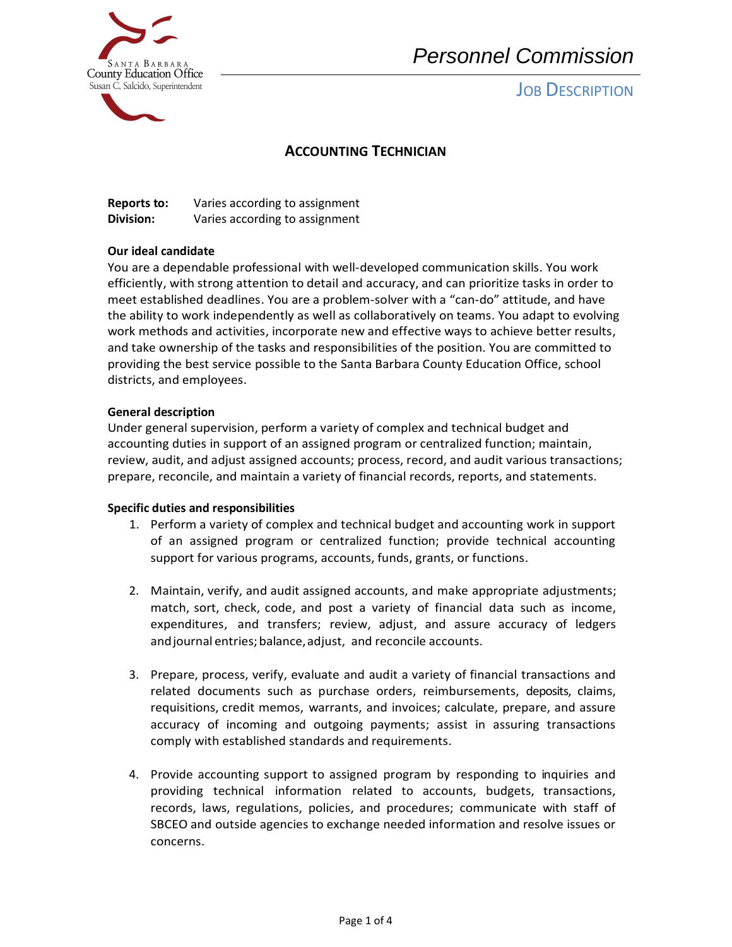

# *Personnel Commission*

# **JOB DESCRIPTION**

### **ACCOUNTING TECHNICIAN**

| <b>Reports to:</b> | Varies according to assignment |
|--------------------|--------------------------------|
| Division:          | Varies according to assignment |

### **Our ideal candidate**

You are a dependable professional with well-developed communication skills. You work efficiently, with strong attention to detail and accuracy, and can prioritize tasks in order to meet established deadlines. You are a problem-solver with a "can-do" attitude, and have the ability to work independently as well as collaboratively on teams. You adapt to evolving work methods and activities, incorporate new and effective ways to achieve better results, and take ownership of the tasks and responsibilities of the position. You are committed to providing the best service possible to the Santa Barbara County Education Office, school districts, and employees.

#### **General description**

Under general supervision, perform a variety of complex and technical budget and accounting duties in support of an assigned program or centralized function; maintain, review, audit, and adjust assigned accounts; process, record, and audit various transactions; prepare, reconcile, and maintain a variety of financial records, reports, and statements.

#### **Specific duties and responsibilities**

- 1. Perform a variety of complex and technical budget and accounting work in support of an assigned program or centralized function; provide technical accounting support for various programs, accounts, funds, grants, or functions.
- 2. Maintain, verify, and audit assigned accounts, and make appropriate adjustments; match, sort, check, code, and post a variety of financial data such as income, expenditures, and transfers; review, adjust, and assure accuracy of ledgers andjournal entries;balance,adjust, and reconcile accounts.
- 3. Prepare, process, verify, evaluate and audit a variety of financial transactions and related documents such as purchase orders, reimbursements, deposits, claims, requisitions, credit memos, warrants, and invoices; calculate, prepare, and assure accuracy of incoming and outgoing payments; assist in assuring transactions comply with established standards and requirements.
- 4. Provide accounting support to assigned program by responding to inquiries and providing technical information related to accounts, budgets, transactions, records, laws, regulations, policies, and procedures; communicate with staff of SBCEO and outside agencies to exchange needed information and resolve issues or concerns.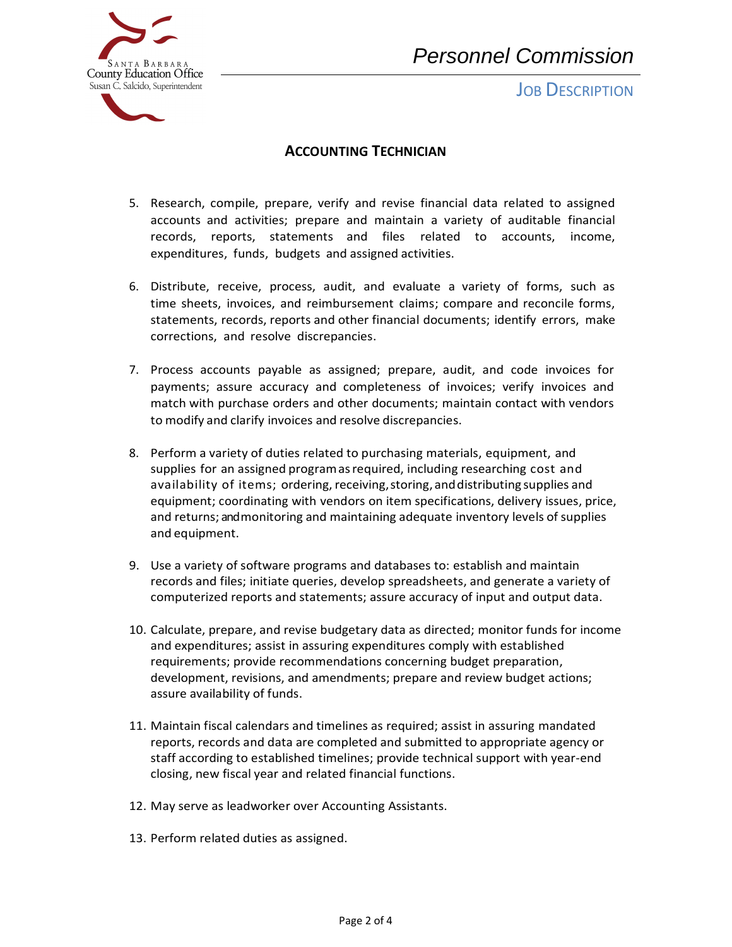

**JOB DESCRIPTION** 



## **ACCOUNTING TECHNICIAN**

- 5. Research, compile, prepare, verify and revise financial data related to assigned accounts and activities; prepare and maintain a variety of auditable financial records, reports, statements and files related to accounts, income, expenditures, funds, budgets and assigned activities.
- 6. Distribute, receive, process, audit, and evaluate a variety of forms, such as time sheets, invoices, and reimbursement claims; compare and reconcile forms, statements, records, reports and other financial documents; identify errors, make corrections, and resolve discrepancies.
- 7. Process accounts payable as assigned; prepare, audit, and code invoices for payments; assure accuracy and completeness of invoices; verify invoices and match with purchase orders and other documents; maintain contact with vendors to modify and clarify invoices and resolve discrepancies.
- 8. Perform a variety of duties related to purchasing materials, equipment, and supplies for an assigned program as required, including researching cost and availability of items; ordering, receiving, storing, and distributing supplies and equipment; coordinating with vendors on item specifications, delivery issues, price, and returns; and monitoring and maintaining adequate inventory levels of supplies and equipment.
- 9. Use a variety of software programs and databases to: establish and maintain records and files; initiate queries, develop spreadsheets, and generate a variety of computerized reports and statements; assure accuracy of input and output data.
- 10. Calculate, prepare, and revise budgetary data as directed; monitor funds for income and expenditures; assist in assuring expenditures comply with established requirements; provide recommendations concerning budget preparation, development, revisions, and amendments; prepare and review budget actions; assure availability of funds.
- 11. Maintain fiscal calendars and timelines as required; assist in assuring mandated reports, records and data are completed and submitted to appropriate agency or staff according to established timelines; provide technical support with year-end closing, new fiscal year and related financial functions.
- 12. May serve as leadworker over Accounting Assistants.
- 13. Perform related duties as assigned.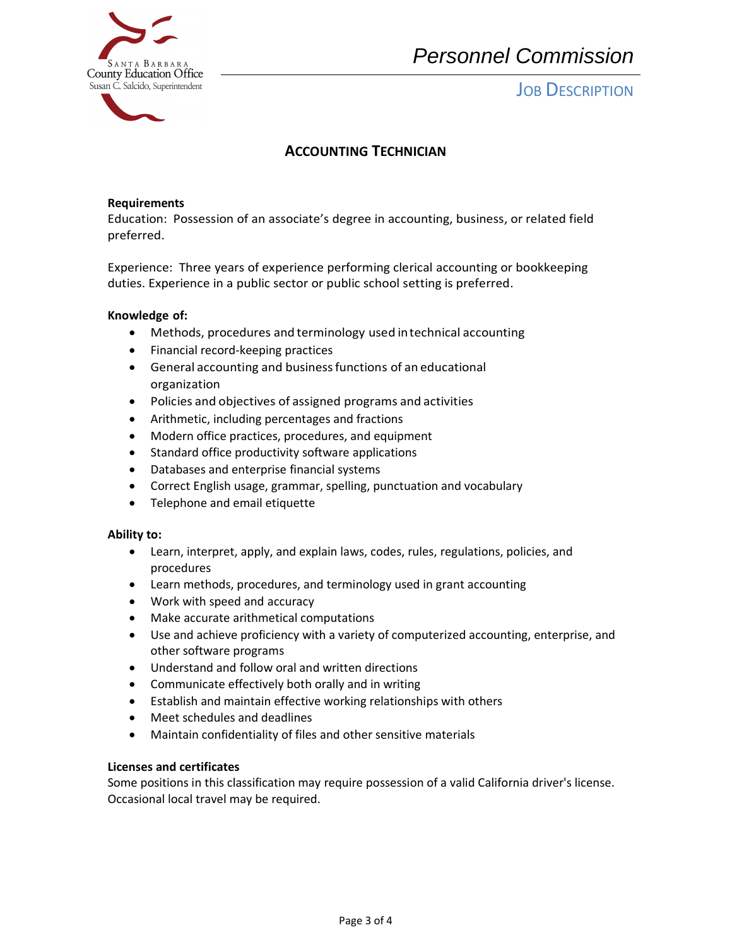

# *Personnel Commission*

## **JOB DESCRIPTION**

## **ACCOUNTING TECHNICIAN**

#### **Requirements**

 Education: Possession of an associate's degree in accounting, business, or related field preferred.

 Experience: Three years of experience performing clerical accounting or bookkeeping duties. Experience in a public sector or public school setting is preferred.

#### **Knowledge of:**

- Methods, procedures and terminology used in technical accounting
- Financial record-keeping practices
- General accounting and business functions of an educational organization
- Policies and objectives of assigned programs and activities
- Arithmetic, including percentages and fractions
- Modern office practices, procedures, and equipment
- Standard office productivity software applications
- Databases and enterprise financial systems
- Correct English usage, grammar, spelling, punctuation and vocabulary
- Telephone and email etiquette

#### **Ability to:**

- Learn, interpret, apply, and explain laws, codes, rules, regulations, policies, and procedures
- Learn methods, procedures, and terminology used in grant accounting
- Work with speed and accuracy
- Make accurate arithmetical computations
- Use and achieve proficiency with a variety of computerized accounting, enterprise, and other software programs
- Understand and follow oral and written directions
- Communicate effectively both orally and in writing
- Establish and maintain effective working relationships with others
- Meet schedules and deadlines
- Maintain confidentiality of files and other sensitive materials

### **Licenses and certificates**

Some positions in this classification may require possession of a valid California driver's license. Occasional local travel may be required.